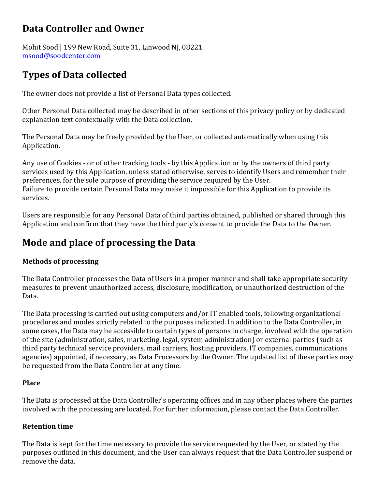### **Data Controller and Owner**

Mohit Sood | 199 New Road, Suite 31, Linwood NJ, 08221 msood@soodcenter.com

# **Types of Data collected**

The owner does not provide a list of Personal Data types collected.

Other Personal Data collected may be described in other sections of this privacy policy or by dedicated explanation text contextually with the Data collection.

The Personal Data may be freely provided by the User, or collected automatically when using this Application.

Any use of Cookies - or of other tracking tools - by this Application or by the owners of third party services used by this Application, unless stated otherwise, serves to identify Users and remember their preferences, for the sole purpose of providing the service required by the User. Failure to provide certain Personal Data may make it impossible for this Application to provide its services.

Users are responsible for any Personal Data of third parties obtained, published or shared through this Application and confirm that they have the third party's consent to provide the Data to the Owner.

# **Mode and place of processing the Data**

### **Methods of processing**

The Data Controller processes the Data of Users in a proper manner and shall take appropriate security measures to prevent unauthorized access, disclosure, modification, or unauthorized destruction of the Data.

The Data processing is carried out using computers and/or IT enabled tools, following organizational procedures and modes strictly related to the purposes indicated. In addition to the Data Controller, in some cases, the Data may be accessible to certain types of persons in charge, involved with the operation of the site (administration, sales, marketing, legal, system administration) or external parties (such as third party technical service providers, mail carriers, hosting providers, IT companies, communications agencies) appointed, if necessary, as Data Processors by the Owner. The updated list of these parties may be requested from the Data Controller at any time.

#### **Place**

The Data is processed at the Data Controller's operating offices and in any other places where the parties involved with the processing are located. For further information, please contact the Data Controller.

#### **Retention time**

The Data is kept for the time necessary to provide the service requested by the User, or stated by the purposes outlined in this document, and the User can always request that the Data Controller suspend or remove the data.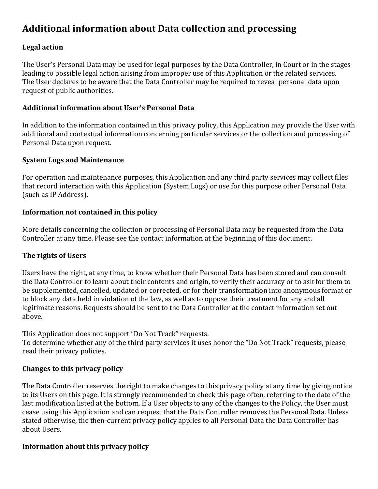## **Additional information about Data collection and processing**

#### **Legal action**

The User's Personal Data may be used for legal purposes by the Data Controller, in Court or in the stages leading to possible legal action arising from improper use of this Application or the related services. The User declares to be aware that the Data Controller may be required to reveal personal data upon request of public authorities.

#### Additional information about User's Personal Data

In addition to the information contained in this privacy policy, this Application may provide the User with additional and contextual information concerning particular services or the collection and processing of Personal Data upon request.

#### **System Logs and Maintenance**

For operation and maintenance purposes, this Application and any third party services may collect files that record interaction with this Application (System Logs) or use for this purpose other Personal Data (such as IP Address).

#### **Information not contained in this policy**

More details concerning the collection or processing of Personal Data may be requested from the Data Controller at any time. Please see the contact information at the beginning of this document.

#### **The rights of Users**

Users have the right, at any time, to know whether their Personal Data has been stored and can consult the Data Controller to learn about their contents and origin, to verify their accuracy or to ask for them to be supplemented, cancelled, updated or corrected, or for their transformation into anonymous format or to block any data held in violation of the law, as well as to oppose their treatment for any and all legitimate reasons. Requests should be sent to the Data Controller at the contact information set out above.

This Application does not support "Do Not Track" requests.

To determine whether any of the third party services it uses honor the "Do Not Track" requests, please read their privacy policies.

#### **Changes to this privacy policy**

The Data Controller reserves the right to make changes to this privacy policy at any time by giving notice to its Users on this page. It is strongly recommended to check this page often, referring to the date of the last modification listed at the bottom. If a User objects to any of the changes to the Policy, the User must cease using this Application and can request that the Data Controller removes the Personal Data. Unless stated otherwise, the then-current privacy policy applies to all Personal Data the Data Controller has about Users.

#### **Information about this privacy policy**